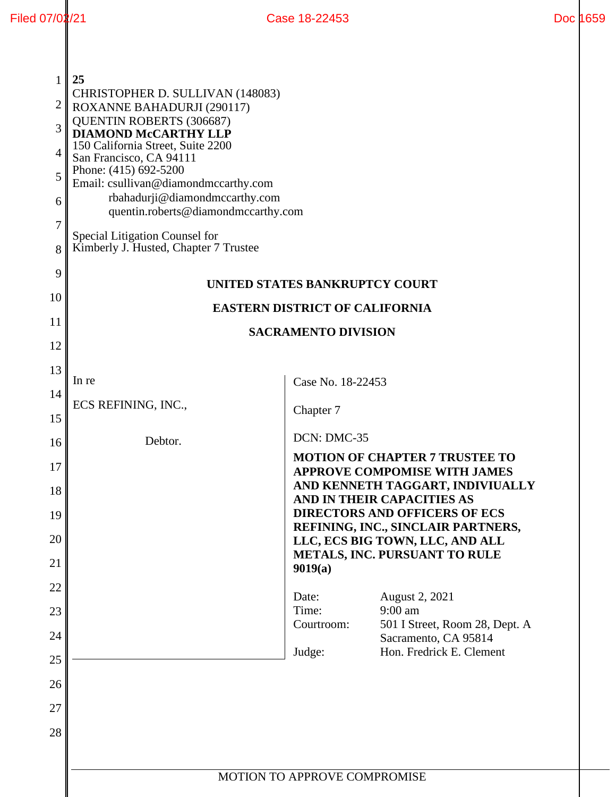| 1<br>2<br>3<br>4<br>5<br>6<br>$\overline{7}$<br>8<br>9 | 25<br>CHRISTOPHER D. SULLIVAN (148083)<br>ROXANNE BAHADURJI (290117)<br><b>QUENTIN ROBERTS (306687)</b><br><b>DIAMOND McCARTHY LLP</b><br>150 California Street, Suite 2200<br>San Francisco, CA 94111<br>Phone: (415) 692-5200<br>Email: csullivan@diamondmccarthy.com<br>rbahadurji@diamondmccarthy.com<br>quentin.roberts@diamondmccarthy.com<br>Special Litigation Counsel for<br>Kimberly J. Husted, Chapter 7 Trustee | UNITED STATES BANKRUPTCY COURT |                                                                                                                                                |
|--------------------------------------------------------|-----------------------------------------------------------------------------------------------------------------------------------------------------------------------------------------------------------------------------------------------------------------------------------------------------------------------------------------------------------------------------------------------------------------------------|--------------------------------|------------------------------------------------------------------------------------------------------------------------------------------------|
| 10                                                     | <b>EASTERN DISTRICT OF CALIFORNIA</b><br><b>SACRAMENTO DIVISION</b>                                                                                                                                                                                                                                                                                                                                                         |                                |                                                                                                                                                |
| 11<br>12                                               |                                                                                                                                                                                                                                                                                                                                                                                                                             |                                |                                                                                                                                                |
| 13                                                     |                                                                                                                                                                                                                                                                                                                                                                                                                             |                                |                                                                                                                                                |
| 14                                                     | In re                                                                                                                                                                                                                                                                                                                                                                                                                       | Case No. 18-22453              |                                                                                                                                                |
| 15                                                     | ECS REFINING, INC.,                                                                                                                                                                                                                                                                                                                                                                                                         | Chapter 7                      |                                                                                                                                                |
| 16                                                     | Debtor.                                                                                                                                                                                                                                                                                                                                                                                                                     | DCN: DMC-35                    |                                                                                                                                                |
| 17<br>18                                               |                                                                                                                                                                                                                                                                                                                                                                                                                             |                                | <b>MOTION OF CHAPTER 7 TRUSTEE TO</b><br><b>APPROVE COMPOMISE WITH JAMES</b><br>AND KENNETH TAGGART, INDIVIUALLY<br>AND IN THEIR CAPACITIES AS |
| 19                                                     |                                                                                                                                                                                                                                                                                                                                                                                                                             |                                | <b>DIRECTORS AND OFFICERS OF ECS</b><br>REFINING, INC., SINCLAIR PARTNERS,                                                                     |
| 20                                                     |                                                                                                                                                                                                                                                                                                                                                                                                                             |                                | LLC, ECS BIG TOWN, LLC, AND ALL                                                                                                                |
| 21                                                     |                                                                                                                                                                                                                                                                                                                                                                                                                             | 9019(a)                        | METALS, INC. PURSUANT TO RULE                                                                                                                  |
| 22                                                     |                                                                                                                                                                                                                                                                                                                                                                                                                             | Date:                          | August 2, 2021                                                                                                                                 |
| 23                                                     |                                                                                                                                                                                                                                                                                                                                                                                                                             | Time:<br>Courtroom:            | 9:00 am<br>501 I Street, Room 28, Dept. A                                                                                                      |
| 24                                                     |                                                                                                                                                                                                                                                                                                                                                                                                                             | Judge:                         | Sacramento, CA 95814<br>Hon. Fredrick E. Clement                                                                                               |
| 25                                                     |                                                                                                                                                                                                                                                                                                                                                                                                                             |                                |                                                                                                                                                |
| 26                                                     |                                                                                                                                                                                                                                                                                                                                                                                                                             |                                |                                                                                                                                                |
| 27                                                     |                                                                                                                                                                                                                                                                                                                                                                                                                             |                                |                                                                                                                                                |
| 28                                                     |                                                                                                                                                                                                                                                                                                                                                                                                                             |                                |                                                                                                                                                |
|                                                        |                                                                                                                                                                                                                                                                                                                                                                                                                             |                                |                                                                                                                                                |
|                                                        | MOTION TO APPROVE COMPROMISE                                                                                                                                                                                                                                                                                                                                                                                                |                                |                                                                                                                                                |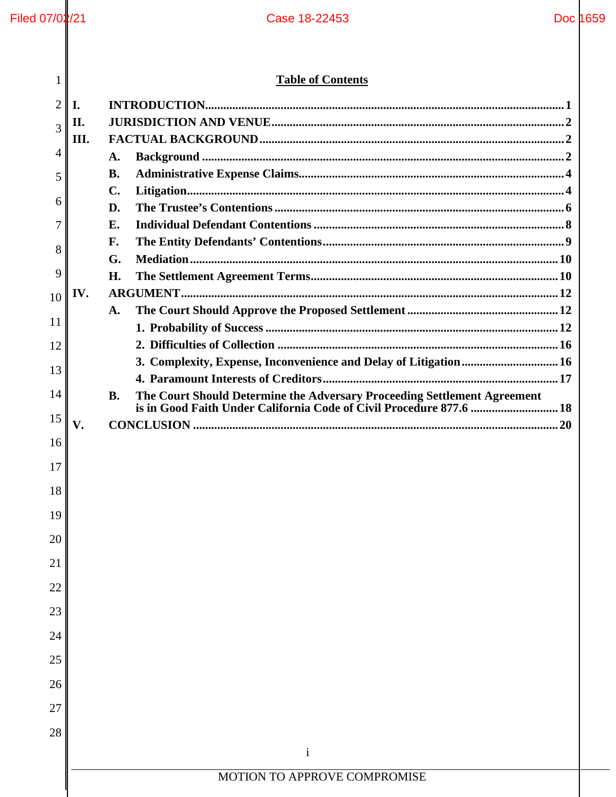# **Table of Contents**

| 1              | <b>Table of Contents</b> |                                                                                       |  |
|----------------|--------------------------|---------------------------------------------------------------------------------------|--|
| $\overline{2}$ | I.                       |                                                                                       |  |
| 3              | П.                       |                                                                                       |  |
|                | III.                     |                                                                                       |  |
| 4              |                          | A.                                                                                    |  |
| 5              |                          | <b>B.</b>                                                                             |  |
| 6              |                          | $\mathbf{C}$ .                                                                        |  |
|                |                          | D.                                                                                    |  |
| 7              |                          | E.<br>F.                                                                              |  |
| 8              |                          | G.                                                                                    |  |
| 9              |                          | H.                                                                                    |  |
| 10             | IV.                      |                                                                                       |  |
|                |                          | A.                                                                                    |  |
| 11             |                          |                                                                                       |  |
| 12             |                          |                                                                                       |  |
| 13             |                          | 3. Complexity, Expense, Inconvenience and Delay of Litigation 16                      |  |
| 14             |                          | The Court Should Determine the Adversary Proceeding Settlement Agreement<br><b>B.</b> |  |
| 15             |                          |                                                                                       |  |
|                | V.                       |                                                                                       |  |
| 16             |                          |                                                                                       |  |
| 17             |                          |                                                                                       |  |
| 18             |                          |                                                                                       |  |
| 19             |                          |                                                                                       |  |
| 20             |                          |                                                                                       |  |
| 21             |                          |                                                                                       |  |
| 22             |                          |                                                                                       |  |
| 23             |                          |                                                                                       |  |
| 24             |                          |                                                                                       |  |
| 25             |                          |                                                                                       |  |
| 26             |                          |                                                                                       |  |
| 27             |                          |                                                                                       |  |
| 28             |                          |                                                                                       |  |
|                |                          | $\mathbf{i}$                                                                          |  |
|                |                          |                                                                                       |  |
|                |                          | MOTION TO APPROVE COMPROMISE                                                          |  |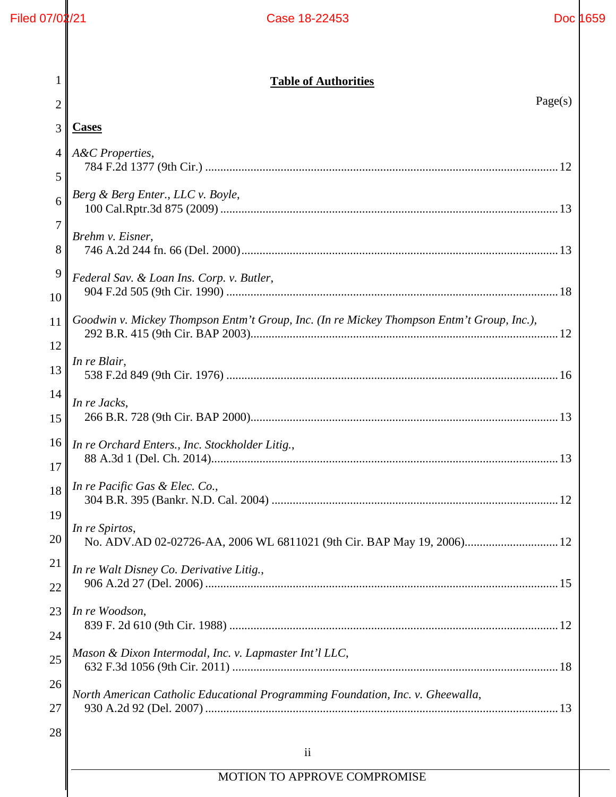| 1       | <b>Table of Authorities</b>                                                               |  |
|---------|-------------------------------------------------------------------------------------------|--|
| 2       | Page(s)                                                                                   |  |
| 3       | <b>Cases</b>                                                                              |  |
| 4       | A&C Properties,                                                                           |  |
| 5       |                                                                                           |  |
| 6       | Berg & Berg Enter., LLC v. Boyle,                                                         |  |
| 7       | Brehm v. Eisner,                                                                          |  |
| 8       |                                                                                           |  |
| 9<br>10 | Federal Sav. & Loan Ins. Corp. v. Butler,                                                 |  |
| 11      | Goodwin v. Mickey Thompson Entm't Group, Inc. (In re Mickey Thompson Entm't Group, Inc.), |  |
| 12      |                                                                                           |  |
| 13      | In re Blair,                                                                              |  |
| 14      | In re Jacks,                                                                              |  |
| 15      |                                                                                           |  |
| 16      | In re Orchard Enters., Inc. Stockholder Litig.,                                           |  |
| 17      |                                                                                           |  |
|         | $18$   In re Pacific Gas & Elec. Co.,                                                     |  |
| 19      | In re Spirtos,                                                                            |  |
| 20      | No. ADV.AD 02-02726-AA, 2006 WL 6811021 (9th Cir. BAP May 19, 2006) 12                    |  |
| 21      | In re Walt Disney Co. Derivative Litig.,                                                  |  |
| 22      |                                                                                           |  |
| 23      | In re Woodson,                                                                            |  |
| 24      | Mason & Dixon Intermodal, Inc. v. Lapmaster Int'l LLC,                                    |  |
| 25      |                                                                                           |  |
| 26      | North American Catholic Educational Programming Foundation, Inc. v. Gheewalla,            |  |
| 27      |                                                                                           |  |
| 28      |                                                                                           |  |
|         | $\overline{\mathbf{ii}}$                                                                  |  |
|         | MOTION TO APPROVE COMPROMISE                                                              |  |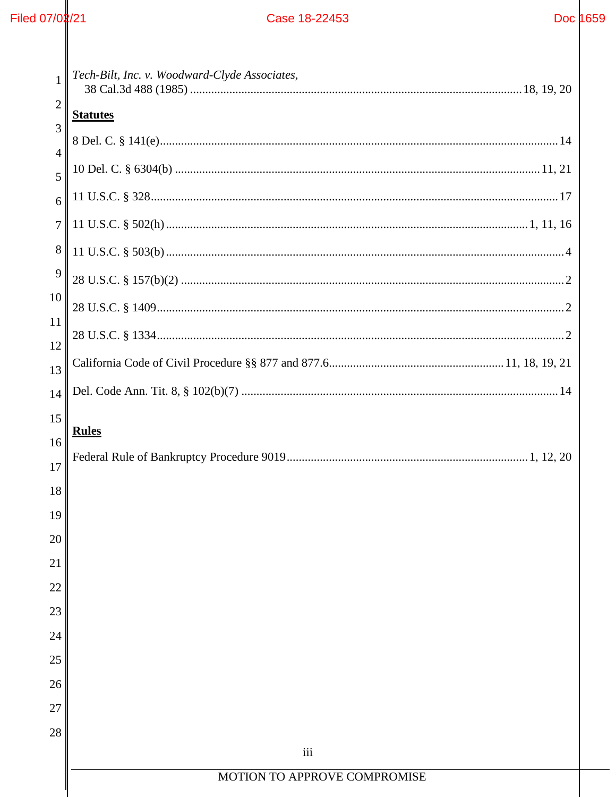| $\mathbf{1}$        | Tech-Bilt, Inc. v. Woodward-Clyde Associates, |  |  |  |
|---------------------|-----------------------------------------------|--|--|--|
| 2                   | <b>Statutes</b>                               |  |  |  |
| 3                   |                                               |  |  |  |
| $\overline{4}$<br>5 |                                               |  |  |  |
| 6                   |                                               |  |  |  |
| 7                   |                                               |  |  |  |
| 8                   |                                               |  |  |  |
| 9                   |                                               |  |  |  |
| 10                  |                                               |  |  |  |
| 11                  |                                               |  |  |  |
| 12                  |                                               |  |  |  |
| 13                  |                                               |  |  |  |
| 14                  |                                               |  |  |  |
| 15                  | <b>Rules</b>                                  |  |  |  |
| 16<br>17            |                                               |  |  |  |
| 18                  |                                               |  |  |  |
| 19                  |                                               |  |  |  |
| 20                  |                                               |  |  |  |
| 21                  |                                               |  |  |  |
| 22                  |                                               |  |  |  |
| 23                  |                                               |  |  |  |
| 24                  |                                               |  |  |  |
| 25                  |                                               |  |  |  |
| 26                  |                                               |  |  |  |
| 27                  |                                               |  |  |  |
| 28                  | iii                                           |  |  |  |
|                     | MOTION TO APPROVE COMPROMISE                  |  |  |  |
|                     |                                               |  |  |  |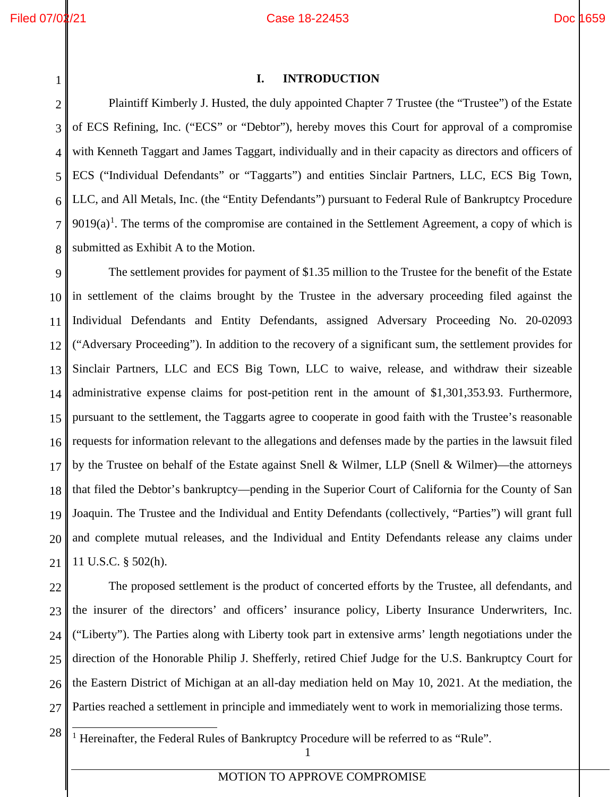### Filed 07/02/21 Doc 1659

<span id="page-4-0"></span>1

### **I. INTRODUCTION**

2 3 4 5 6 7 8 Plaintiff Kimberly J. Husted, the duly appointed Chapter 7 Trustee (the "Trustee") of the Estate of ECS Refining, Inc. ("ECS" or "Debtor"), hereby moves this Court for approval of a compromise with Kenneth Taggart and James Taggart, individually and in their capacity as directors and officers of ECS ("Individual Defendants" or "Taggarts") and entities Sinclair Partners, LLC, ECS Big Town, LLC, and All Metals, Inc. (the "Entity Defendants") pursuant to Federal Rule of Bankruptcy Procedure  $9019(a)$  $9019(a)$  $9019(a)$ <sup>1</sup>. The terms of the compromise are contained in the Settlement Agreement, a copy of which is submitted as Exhibit A to the Motion.

9 10 11 12 13 14 15 16 17 18 19 20 21 The settlement provides for payment of \$1.35 million to the Trustee for the benefit of the Estate in settlement of the claims brought by the Trustee in the adversary proceeding filed against the Individual Defendants and Entity Defendants, assigned Adversary Proceeding No. 20-02093 ("Adversary Proceeding"). In addition to the recovery of a significant sum, the settlement provides for Sinclair Partners, LLC and ECS Big Town, LLC to waive, release, and withdraw their sizeable administrative expense claims for post-petition rent in the amount of \$1,301,353.93. Furthermore, pursuant to the settlement, the Taggarts agree to cooperate in good faith with the Trustee's reasonable requests for information relevant to the allegations and defenses made by the parties in the lawsuit filed by the Trustee on behalf of the Estate against Snell & Wilmer, LLP (Snell & Wilmer)—the attorneys that filed the Debtor's bankruptcy—pending in the Superior Court of California for the County of San Joaquin. The Trustee and the Individual and Entity Defendants (collectively, "Parties") will grant full and complete mutual releases, and the Individual and Entity Defendants release any claims under 11 U.S.C. § 502(h).

22 23 24 25 26 27 The proposed settlement is the product of concerted efforts by the Trustee, all defendants, and the insurer of the directors' and officers' insurance policy, Liberty Insurance Underwriters, Inc. ("Liberty"). The Parties along with Liberty took part in extensive arms' length negotiations under the direction of the Honorable Philip J. Shefferly, retired Chief Judge for the U.S. Bankruptcy Court for the Eastern District of Michigan at an all-day mediation held on May 10, 2021. At the mediation, the Parties reached a settlement in principle and immediately went to work in memorializing those terms.

<span id="page-4-1"></span>28

<sup>1</sup> Hereinafter, the Federal Rules of Bankruptcy Procedure will be referred to as "Rule".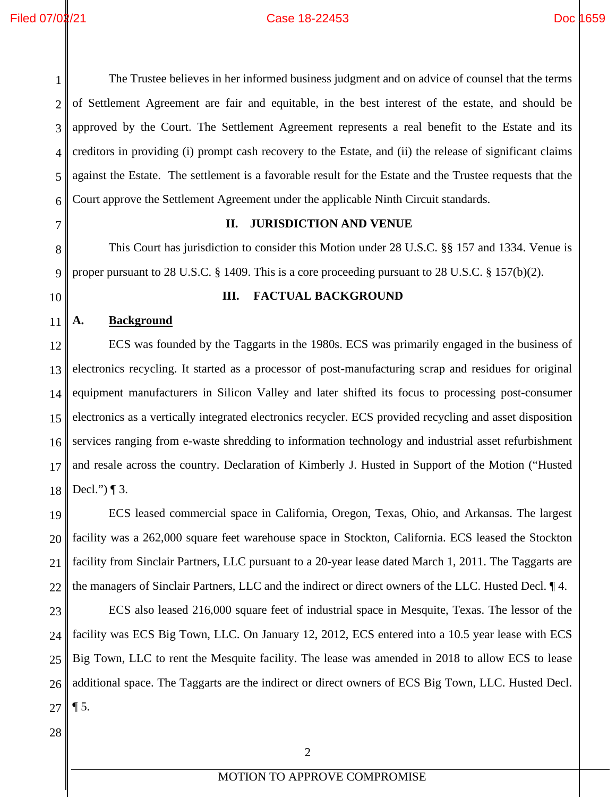2

3

4

5

<span id="page-5-0"></span>6

7

8

<span id="page-5-1"></span>9

<span id="page-5-2"></span>10

11

12

13

14

15

16

17

18

19

20

21

22

23

24

25

26

### Filed 07/02/21 Case 18-22453 Doc 1659

The Trustee believes in her informed business judgment and on advice of counsel that the terms of Settlement Agreement are fair and equitable, in the best interest of the estate, and should be approved by the Court. The Settlement Agreement represents a real benefit to the Estate and its creditors in providing (i) prompt cash recovery to the Estate, and (ii) the release of significant claims against the Estate. The settlement is a favorable result for the Estate and the Trustee requests that the Court approve the Settlement Agreement under the applicable Ninth Circuit standards. **II. JURISDICTION AND VENUE** This Court has jurisdiction to consider this Motion under 28 U.S.C. §§ 157 and 1334. Venue is proper pursuant to 28 U.S.C. § 1409. This is a core proceeding pursuant to 28 U.S.C. § 157(b)(2). **III. FACTUAL BACKGROUND A. Background**  ECS was founded by the Taggarts in the 1980s. ECS was primarily engaged in the business of electronics recycling. It started as a processor of post-manufacturing scrap and residues for original equipment manufacturers in Silicon Valley and later shifted its focus to processing post-consumer electronics as a vertically integrated electronics recycler. ECS provided recycling and asset disposition services ranging from e-waste shredding to information technology and industrial asset refurbishment and resale across the country. Declaration of Kimberly J. Husted in Support of the Motion ("Husted Decl.")  $\P$  3. ECS leased commercial space in California, Oregon, Texas, Ohio, and Arkansas. The largest facility was a 262,000 square feet warehouse space in Stockton, California. ECS leased the Stockton facility from Sinclair Partners, LLC pursuant to a 20-year lease dated March 1, 2011. The Taggarts are the managers of Sinclair Partners, LLC and the indirect or direct owners of the LLC. Husted Decl. ¶ 4. ECS also leased 216,000 square feet of industrial space in Mesquite, Texas. The lessor of the facility was ECS Big Town, LLC. On January 12, 2012, ECS entered into a 10.5 year lease with ECS Big Town, LLC to rent the Mesquite facility. The lease was amended in 2018 to allow ECS to lease additional space. The Taggarts are the indirect or direct owners of ECS Big Town, LLC. Husted Decl.

27

 $\P$  5.

28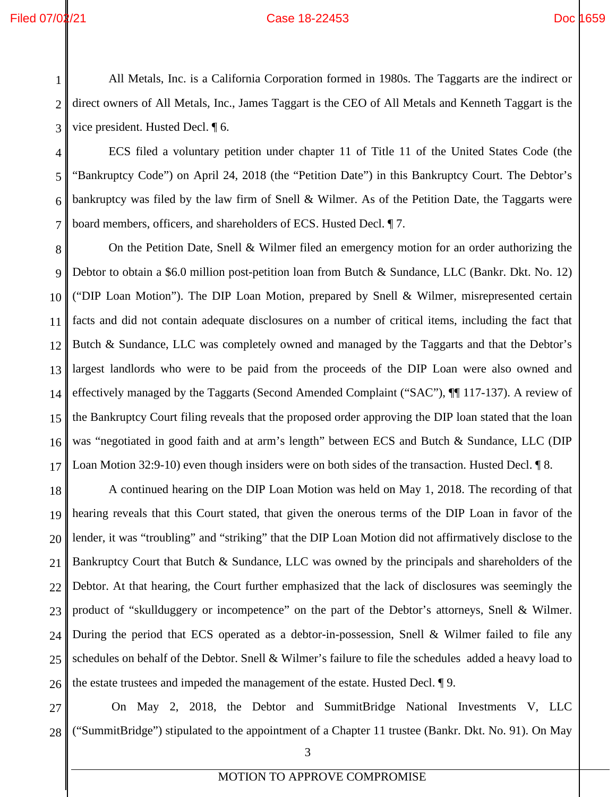All Metals, Inc. is a California Corporation formed in 1980s. The Taggarts are the indirect or direct owners of All Metals, Inc., James Taggart is the CEO of All Metals and Kenneth Taggart is the vice president. Husted Decl. ¶ 6.

4 5 6 7 ECS filed a voluntary petition under chapter 11 of Title 11 of the United States Code (the "Bankruptcy Code") on April 24, 2018 (the "Petition Date") in this Bankruptcy Court. The Debtor's bankruptcy was filed by the law firm of Snell & Wilmer. As of the Petition Date, the Taggarts were board members, officers, and shareholders of ECS. Husted Decl. ¶ 7.

8 9 10 11 12 13 14 15 16 17 On the Petition Date, Snell & Wilmer filed an emergency motion for an order authorizing the Debtor to obtain a \$6.0 million post-petition loan from Butch & Sundance, LLC (Bankr. Dkt. No. 12) ("DIP Loan Motion"). The DIP Loan Motion, prepared by Snell & Wilmer, misrepresented certain facts and did not contain adequate disclosures on a number of critical items, including the fact that Butch & Sundance, LLC was completely owned and managed by the Taggarts and that the Debtor's largest landlords who were to be paid from the proceeds of the DIP Loan were also owned and effectively managed by the Taggarts (Second Amended Complaint ("SAC"), ¶¶ 117-137). A review of the Bankruptcy Court filing reveals that the proposed order approving the DIP loan stated that the loan was "negotiated in good faith and at arm's length" between ECS and Butch & Sundance, LLC (DIP Loan Motion 32:9-10) even though insiders were on both sides of the transaction. Husted Decl. ¶ 8.

18 19 20 21 22 23 24 25 26 A continued hearing on the DIP Loan Motion was held on May 1, 2018. The recording of that hearing reveals that this Court stated, that given the onerous terms of the DIP Loan in favor of the lender, it was "troubling" and "striking" that the DIP Loan Motion did not affirmatively disclose to the Bankruptcy Court that Butch & Sundance, LLC was owned by the principals and shareholders of the Debtor. At that hearing, the Court further emphasized that the lack of disclosures was seemingly the product of "skullduggery or incompetence" on the part of the Debtor's attorneys, Snell & Wilmer. During the period that ECS operated as a debtor-in-possession, Snell & Wilmer failed to file any schedules on behalf of the Debtor. Snell & Wilmer's failure to file the schedules added a heavy load to the estate trustees and impeded the management of the estate. Husted Decl. ¶ 9.

27 28 On May 2, 2018, the Debtor and SummitBridge National Investments V, LLC ("SummitBridge") stipulated to the appointment of a Chapter 11 trustee (Bankr. Dkt. No. 91). On May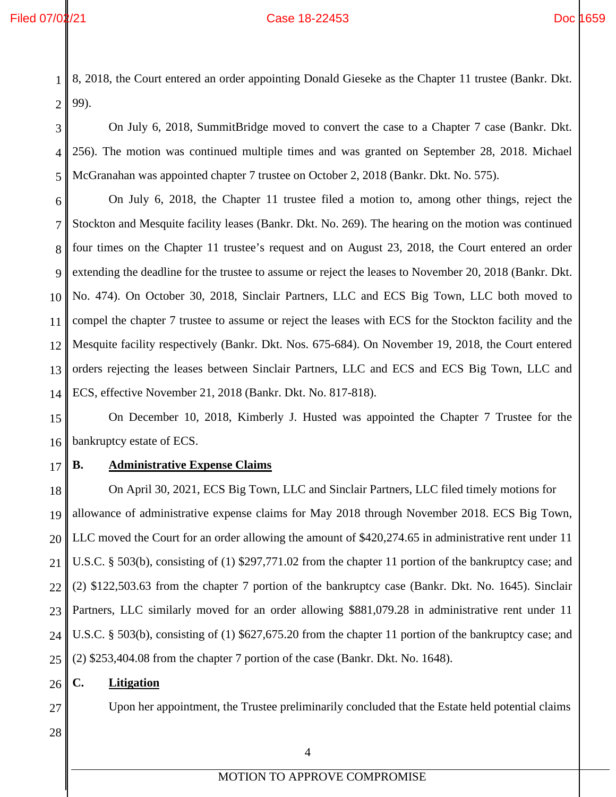1 2 8, 2018, the Court entered an order appointing Donald Gieseke as the Chapter 11 trustee (Bankr. Dkt. 99).

3 4 5 On July 6, 2018, SummitBridge moved to convert the case to a Chapter 7 case (Bankr. Dkt. 256). The motion was continued multiple times and was granted on September 28, 2018. Michael McGranahan was appointed chapter 7 trustee on October 2, 2018 (Bankr. Dkt. No. 575).

6 7 8 9 10 11 12 13 14 On July 6, 2018, the Chapter 11 trustee filed a motion to, among other things, reject the Stockton and Mesquite facility leases (Bankr. Dkt. No. 269). The hearing on the motion was continued four times on the Chapter 11 trustee's request and on August 23, 2018, the Court entered an order extending the deadline for the trustee to assume or reject the leases to November 20, 2018 (Bankr. Dkt. No. 474). On October 30, 2018, Sinclair Partners, LLC and ECS Big Town, LLC both moved to compel the chapter 7 trustee to assume or reject the leases with ECS for the Stockton facility and the Mesquite facility respectively (Bankr. Dkt. Nos. 675-684). On November 19, 2018, the Court entered orders rejecting the leases between Sinclair Partners, LLC and ECS and ECS Big Town, LLC and ECS, effective November 21, 2018 (Bankr. Dkt. No. 817-818).

15 16 On December 10, 2018, Kimberly J. Husted was appointed the Chapter 7 Trustee for the bankruptcy estate of ECS.

17

### <span id="page-7-0"></span>**B. Administrative Expense Claims**

18 19 20 21 22 23 24 25 On April 30, 2021, ECS Big Town, LLC and Sinclair Partners, LLC filed timely motions for allowance of administrative expense claims for May 2018 through November 2018. ECS Big Town, LLC moved the Court for an order allowing the amount of \$420,274.65 in administrative rent under 11 U.S.C. § 503(b), consisting of (1) \$297,771.02 from the chapter 11 portion of the bankruptcy case; and (2) \$122,503.63 from the chapter 7 portion of the bankruptcy case (Bankr. Dkt. No. 1645). Sinclair Partners, LLC similarly moved for an order allowing \$881,079.28 in administrative rent under 11 U.S.C. § 503(b), consisting of (1) \$627,675.20 from the chapter 11 portion of the bankruptcy case; and (2) \$253,404.08 from the chapter 7 portion of the case (Bankr. Dkt. No. 1648).

<span id="page-7-1"></span>26 **C. Litigation**

Upon her appointment, the Trustee preliminarily concluded that the Estate held potential claims

28

27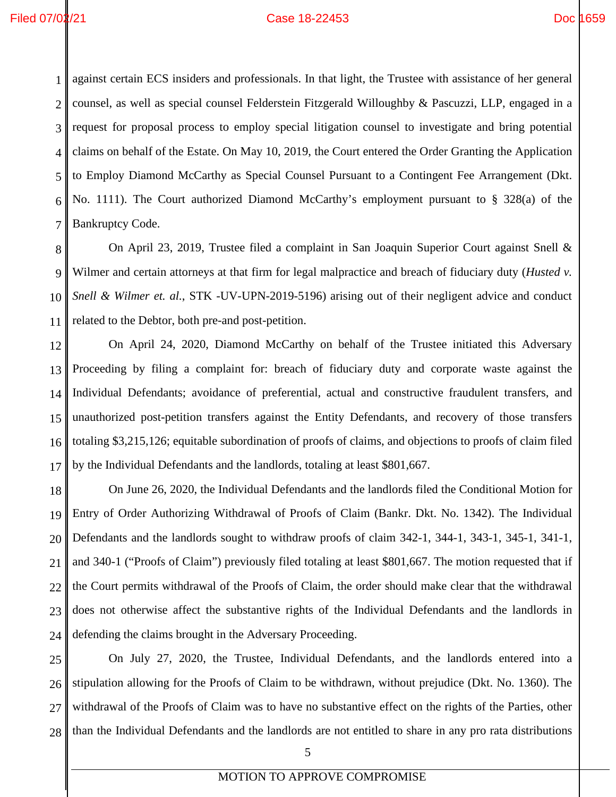1 2 3 4 5 6 7 against certain ECS insiders and professionals. In that light, the Trustee with assistance of her general counsel, as well as special counsel Felderstein Fitzgerald Willoughby & Pascuzzi, LLP, engaged in a request for proposal process to employ special litigation counsel to investigate and bring potential claims on behalf of the Estate. On May 10, 2019, the Court entered the Order Granting the Application to Employ Diamond McCarthy as Special Counsel Pursuant to a Contingent Fee Arrangement (Dkt. No. 1111). The Court authorized Diamond McCarthy's employment pursuant to § 328(a) of the Bankruptcy Code.

8 9 10 11 On April 23, 2019, Trustee filed a complaint in San Joaquin Superior Court against Snell & Wilmer and certain attorneys at that firm for legal malpractice and breach of fiduciary duty (*Husted v. Snell & Wilmer et. al.*, STK -UV-UPN-2019-5196) arising out of their negligent advice and conduct related to the Debtor, both pre-and post-petition.

12 13 14 15 16 17 On April 24, 2020, Diamond McCarthy on behalf of the Trustee initiated this Adversary Proceeding by filing a complaint for: breach of fiduciary duty and corporate waste against the Individual Defendants; avoidance of preferential, actual and constructive fraudulent transfers, and unauthorized post-petition transfers against the Entity Defendants, and recovery of those transfers totaling \$3,215,126; equitable subordination of proofs of claims, and objections to proofs of claim filed by the Individual Defendants and the landlords, totaling at least \$801,667.

18 19 20 21 22 23 24 On June 26, 2020, the Individual Defendants and the landlords filed the Conditional Motion for Entry of Order Authorizing Withdrawal of Proofs of Claim (Bankr. Dkt. No. 1342). The Individual Defendants and the landlords sought to withdraw proofs of claim 342-1, 344-1, 343-1, 345-1, 341-1, and 340-1 ("Proofs of Claim") previously filed totaling at least \$801,667. The motion requested that if the Court permits withdrawal of the Proofs of Claim, the order should make clear that the withdrawal does not otherwise affect the substantive rights of the Individual Defendants and the landlords in defending the claims brought in the Adversary Proceeding.

25 26 27 28 On July 27, 2020, the Trustee, Individual Defendants, and the landlords entered into a stipulation allowing for the Proofs of Claim to be withdrawn, without prejudice (Dkt. No. 1360). The withdrawal of the Proofs of Claim was to have no substantive effect on the rights of the Parties, other than the Individual Defendants and the landlords are not entitled to share in any pro rata distributions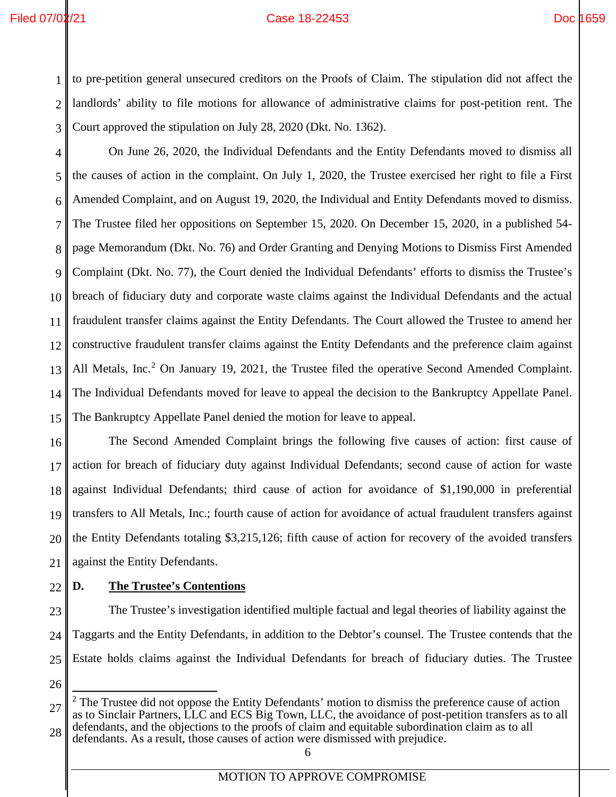### Filed 07/02/21 Case 18-22453 Doc 1659

1 2 3 to pre-petition general unsecured creditors on the Proofs of Claim. The stipulation did not affect the landlords' ability to file motions for allowance of administrative claims for post-petition rent. The Court approved the stipulation on July 28, 2020 (Dkt. No. 1362).

4 5 6 7 8 9 10 11 12 13 14 15 On June 26, 2020, the Individual Defendants and the Entity Defendants moved to dismiss all the causes of action in the complaint. On July 1, 2020, the Trustee exercised her right to file a First Amended Complaint, and on August 19, 2020, the Individual and Entity Defendants moved to dismiss. The Trustee filed her oppositions on September 15, 2020. On December 15, 2020, in a published 54 page Memorandum (Dkt. No. 76) and Order Granting and Denying Motions to Dismiss First Amended Complaint (Dkt. No. 77), the Court denied the Individual Defendants' efforts to dismiss the Trustee's breach of fiduciary duty and corporate waste claims against the Individual Defendants and the actual fraudulent transfer claims against the Entity Defendants. The Court allowed the Trustee to amend her constructive fraudulent transfer claims against the Entity Defendants and the preference claim against All Metals, Inc.<sup>[2](#page-9-1)</sup> On January 19, 2021, the Trustee filed the operative Second Amended Complaint. The Individual Defendants moved for leave to appeal the decision to the Bankruptcy Appellate Panel. The Bankruptcy Appellate Panel denied the motion for leave to appeal.

16 17 18 19 20 21 The Second Amended Complaint brings the following five causes of action: first cause of action for breach of fiduciary duty against Individual Defendants; second cause of action for waste against Individual Defendants; third cause of action for avoidance of \$1,190,000 in preferential transfers to All Metals, Inc.; fourth cause of action for avoidance of actual fraudulent transfers against the Entity Defendants totaling \$3,215,126; fifth cause of action for recovery of the avoided transfers against the Entity Defendants.

22

# <span id="page-9-0"></span>**D. The Trustee's Contentions**

23 24 25 The Trustee's investigation identified multiple factual and legal theories of liability against the Taggarts and the Entity Defendants, in addition to the Debtor's counsel. The Trustee contends that the Estate holds claims against the Individual Defendants for breach of fiduciary duties. The Trustee

26

<span id="page-9-1"></span><sup>27</sup> 28  $2$  The Trustee did not oppose the Entity Defendants' motion to dismiss the preference cause of action as to Sinclair Partners, LLC and ECS Big Town, LLC, the avoidance of post-petition transfers as to all defendants, and the objections to the proofs of claim and equitable subordination claim as to all defendants. As a result, those causes of action were dismissed with prejudice.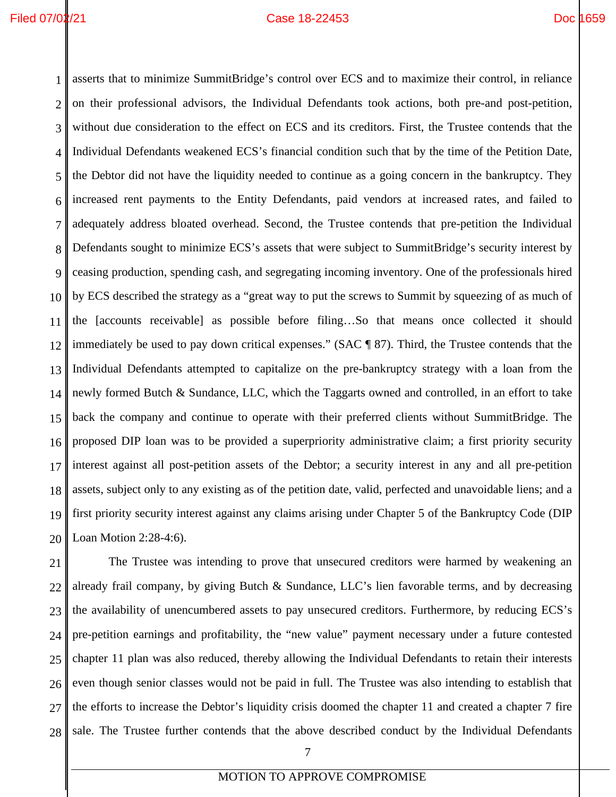1 2 3 4 5 6 7 8 9 10 11 12 13 14 15 16 17 18 19 20 asserts that to minimize SummitBridge's control over ECS and to maximize their control, in reliance on their professional advisors, the Individual Defendants took actions, both pre-and post-petition, without due consideration to the effect on ECS and its creditors. First, the Trustee contends that the Individual Defendants weakened ECS's financial condition such that by the time of the Petition Date, the Debtor did not have the liquidity needed to continue as a going concern in the bankruptcy. They increased rent payments to the Entity Defendants, paid vendors at increased rates, and failed to adequately address bloated overhead. Second, the Trustee contends that pre-petition the Individual Defendants sought to minimize ECS's assets that were subject to SummitBridge's security interest by ceasing production, spending cash, and segregating incoming inventory. One of the professionals hired by ECS described the strategy as a "great way to put the screws to Summit by squeezing of as much of the [accounts receivable] as possible before filing…So that means once collected it should immediately be used to pay down critical expenses." (SAC ¶ 87). Third, the Trustee contends that the Individual Defendants attempted to capitalize on the pre-bankruptcy strategy with a loan from the newly formed Butch & Sundance, LLC, which the Taggarts owned and controlled, in an effort to take back the company and continue to operate with their preferred clients without SummitBridge. The proposed DIP loan was to be provided a superpriority administrative claim; a first priority security interest against all post-petition assets of the Debtor; a security interest in any and all pre-petition assets, subject only to any existing as of the petition date, valid, perfected and unavoidable liens; and a first priority security interest against any claims arising under Chapter 5 of the Bankruptcy Code (DIP Loan Motion 2:28-4:6).

21 22 23 24 25 26 27 28 The Trustee was intending to prove that unsecured creditors were harmed by weakening an already frail company, by giving Butch & Sundance, LLC's lien favorable terms, and by decreasing the availability of unencumbered assets to pay unsecured creditors. Furthermore, by reducing ECS's pre-petition earnings and profitability, the "new value" payment necessary under a future contested chapter 11 plan was also reduced, thereby allowing the Individual Defendants to retain their interests even though senior classes would not be paid in full. The Trustee was also intending to establish that the efforts to increase the Debtor's liquidity crisis doomed the chapter 11 and created a chapter 7 fire sale. The Trustee further contends that the above described conduct by the Individual Defendants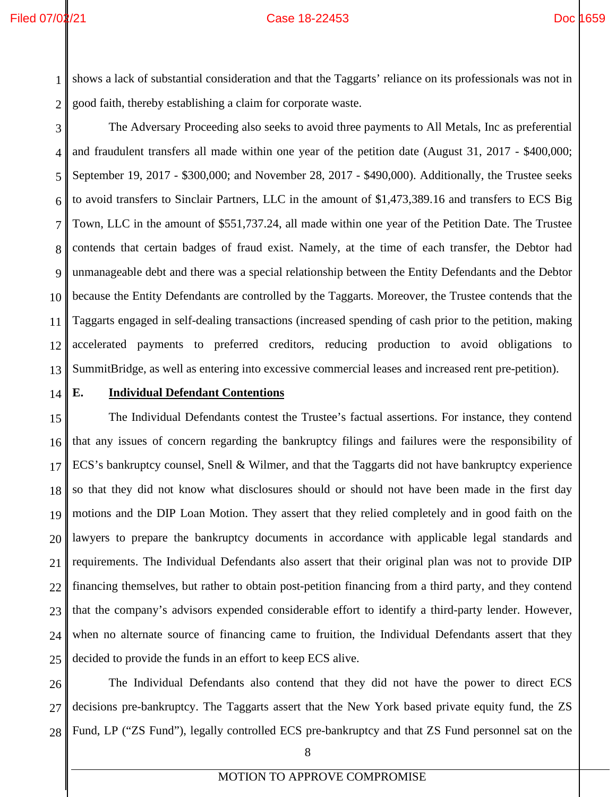1 2 shows a lack of substantial consideration and that the Taggarts' reliance on its professionals was not in good faith, thereby establishing a claim for corporate waste.

- 3 4 5 6 7 8 9 10 11 12 13 The Adversary Proceeding also seeks to avoid three payments to All Metals, Inc as preferential and fraudulent transfers all made within one year of the petition date (August 31, 2017 - \$400,000; September 19, 2017 - \$300,000; and November 28, 2017 - \$490,000). Additionally, the Trustee seeks to avoid transfers to Sinclair Partners, LLC in the amount of \$1,473,389.16 and transfers to ECS Big Town, LLC in the amount of \$551,737.24, all made within one year of the Petition Date. The Trustee contends that certain badges of fraud exist. Namely, at the time of each transfer, the Debtor had unmanageable debt and there was a special relationship between the Entity Defendants and the Debtor because the Entity Defendants are controlled by the Taggarts. Moreover, the Trustee contends that the Taggarts engaged in self-dealing transactions (increased spending of cash prior to the petition, making accelerated payments to preferred creditors, reducing production to avoid obligations to SummitBridge, as well as entering into excessive commercial leases and increased rent pre-petition).
- 14

### <span id="page-11-0"></span>**E. Individual Defendant Contentions**

15 16 17 18 19 20 21 22 23 24 25 The Individual Defendants contest the Trustee's factual assertions. For instance, they contend that any issues of concern regarding the bankruptcy filings and failures were the responsibility of ECS's bankruptcy counsel, Snell & Wilmer, and that the Taggarts did not have bankruptcy experience so that they did not know what disclosures should or should not have been made in the first day motions and the DIP Loan Motion. They assert that they relied completely and in good faith on the lawyers to prepare the bankruptcy documents in accordance with applicable legal standards and requirements. The Individual Defendants also assert that their original plan was not to provide DIP financing themselves, but rather to obtain post-petition financing from a third party, and they contend that the company's advisors expended considerable effort to identify a third-party lender. However, when no alternate source of financing came to fruition, the Individual Defendants assert that they decided to provide the funds in an effort to keep ECS alive.

26 27 28 The Individual Defendants also contend that they did not have the power to direct ECS decisions pre-bankruptcy. The Taggarts assert that the New York based private equity fund, the ZS Fund, LP ("ZS Fund"), legally controlled ECS pre-bankruptcy and that ZS Fund personnel sat on the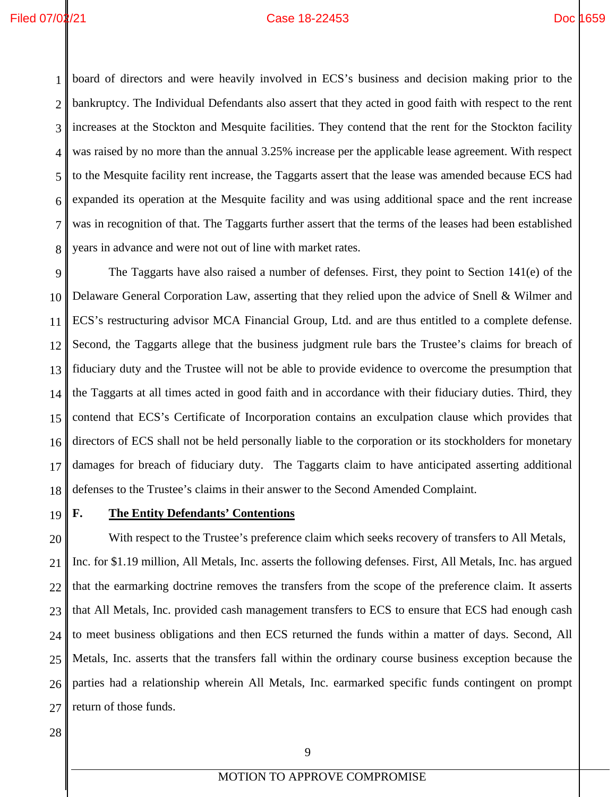1 2 3 4 5 6 7 8 board of directors and were heavily involved in ECS's business and decision making prior to the bankruptcy. The Individual Defendants also assert that they acted in good faith with respect to the rent increases at the Stockton and Mesquite facilities. They contend that the rent for the Stockton facility was raised by no more than the annual 3.25% increase per the applicable lease agreement. With respect to the Mesquite facility rent increase, the Taggarts assert that the lease was amended because ECS had expanded its operation at the Mesquite facility and was using additional space and the rent increase was in recognition of that. The Taggarts further assert that the terms of the leases had been established years in advance and were not out of line with market rates.

9 10 11 12 13 14 15 16 17 18 The Taggarts have also raised a number of defenses. First, they point to Section 141(e) of the Delaware General Corporation Law, asserting that they relied upon the advice of Snell & Wilmer and ECS's restructuring advisor MCA Financial Group, Ltd. and are thus entitled to a complete defense. Second, the Taggarts allege that the business judgment rule bars the Trustee's claims for breach of fiduciary duty and the Trustee will not be able to provide evidence to overcome the presumption that the Taggarts at all times acted in good faith and in accordance with their fiduciary duties. Third, they contend that ECS's Certificate of Incorporation contains an exculpation clause which provides that directors of ECS shall not be held personally liable to the corporation or its stockholders for monetary damages for breach of fiduciary duty. The Taggarts claim to have anticipated asserting additional defenses to the Trustee's claims in their answer to the Second Amended Complaint.

19

### <span id="page-12-0"></span>**F. The Entity Defendants' Contentions**

20 21 22 23 24 25 26 27 With respect to the Trustee's preference claim which seeks recovery of transfers to All Metals, Inc. for \$1.19 million, All Metals, Inc. asserts the following defenses. First, All Metals, Inc. has argued that the earmarking doctrine removes the transfers from the scope of the preference claim. It asserts that All Metals, Inc. provided cash management transfers to ECS to ensure that ECS had enough cash to meet business obligations and then ECS returned the funds within a matter of days. Second, All Metals, Inc. asserts that the transfers fall within the ordinary course business exception because the parties had a relationship wherein All Metals, Inc. earmarked specific funds contingent on prompt return of those funds.

28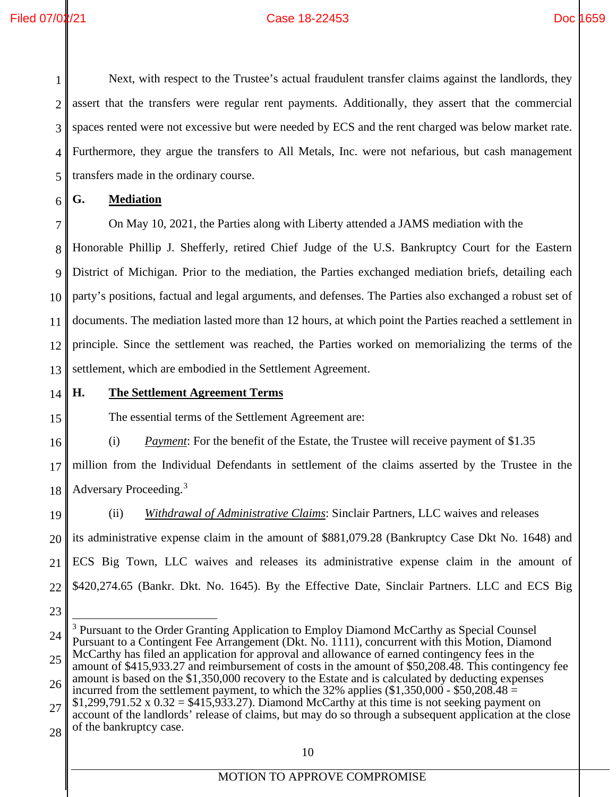### Filed 07/02/21 Case 18-22453 Doc 1659

1 2 3 4 5 Next, with respect to the Trustee's actual fraudulent transfer claims against the landlords, they assert that the transfers were regular rent payments. Additionally, they assert that the commercial spaces rented were not excessive but were needed by ECS and the rent charged was below market rate. Furthermore, they argue the transfers to All Metals, Inc. were not nefarious, but cash management transfers made in the ordinary course.

<span id="page-13-0"></span>6 **G. Mediation** 

On May 10, 2021, the Parties along with Liberty attended a JAMS mediation with the

8 9 10 11 12 13 Honorable Phillip J. Shefferly, retired Chief Judge of the U.S. Bankruptcy Court for the Eastern District of Michigan. Prior to the mediation, the Parties exchanged mediation briefs, detailing each party's positions, factual and legal arguments, and defenses. The Parties also exchanged a robust set of documents. The mediation lasted more than 12 hours, at which point the Parties reached a settlement in principle. Since the settlement was reached, the Parties worked on memorializing the terms of the settlement, which are embodied in the Settlement Agreement.

14 15

16

7

# <span id="page-13-1"></span>**H. The Settlement Agreement Terms**

The essential terms of the Settlement Agreement are:

(i) *Payment*: For the benefit of the Estate, the Trustee will receive payment of \$1.35

17 18 million from the Individual Defendants in settlement of the claims asserted by the Trustee in the Adversary Proceeding.[3](#page-13-2)

- 19 20 21 22 (ii) *Withdrawal of Administrative Claims*: Sinclair Partners, LLC waives and releases its administrative expense claim in the amount of \$881,079.28 (Bankruptcy Case Dkt No. 1648) and ECS Big Town, LLC waives and releases its administrative expense claim in the amount of \$420,274.65 (Bankr. Dkt. No. 1645). By the Effective Date, Sinclair Partners. LLC and ECS Big
- 23

27 28 account of the landlords' release of claims, but may do so through a subsequent application at the close of the bankruptcy case.

<span id="page-13-2"></span><sup>24</sup> 25 <sup>3</sup> Pursuant to the Order Granting Application to Employ Diamond McCarthy as Special Counsel Pursuant to a Contingent Fee Arrangement (Dkt. No. 1111), concurrent with this Motion, Diamond McCarthy has filed an application for approval and allowance of earned contingency fees in the

<sup>26</sup> amount of \$415,933.27 and reimbursement of costs in the amount of \$50,208.48. This contingency fee amount is based on the \$1,350,000 recovery to the Estate and is calculated by deducting expenses incurred from the settlement payment, to which the 32% applies  $(\$1,350,000 - \$50,208.48 =$ 

 $$1,299,791.52 \times 0.32 = $415,933.27$ . Diamond McCarthy at this time is not seeking payment on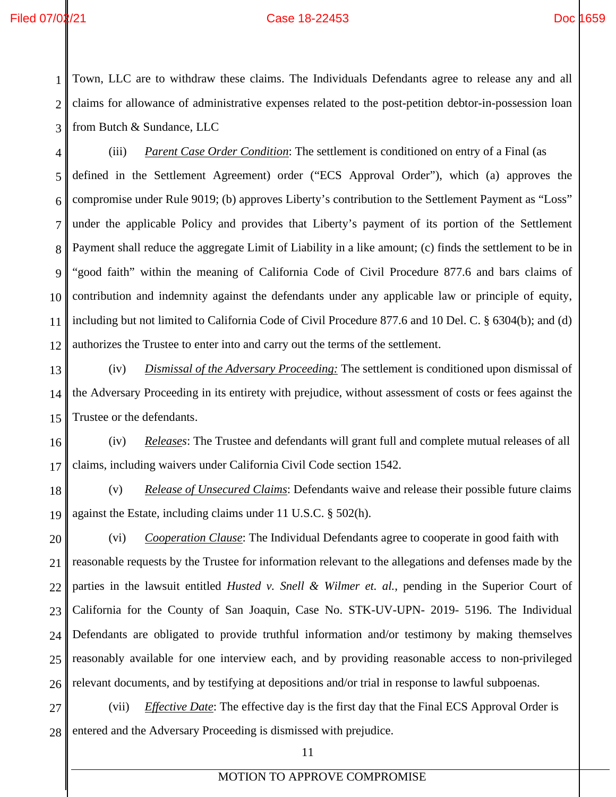1 2 3 Town, LLC are to withdraw these claims. The Individuals Defendants agree to release any and all claims for allowance of administrative expenses related to the post-petition debtor-in-possession loan from Butch & Sundance, LLC

4 5 6 7 8 9 10 11 12 (iii) *Parent Case Order Condition*: The settlement is conditioned on entry of a Final (as defined in the Settlement Agreement) order ("ECS Approval Order"), which (a) approves the compromise under Rule 9019; (b) approves Liberty's contribution to the Settlement Payment as "Loss" under the applicable Policy and provides that Liberty's payment of its portion of the Settlement Payment shall reduce the aggregate Limit of Liability in a like amount; (c) finds the settlement to be in "good faith" within the meaning of California Code of Civil Procedure 877.6 and bars claims of contribution and indemnity against the defendants under any applicable law or principle of equity, including but not limited to California Code of Civil Procedure 877.6 and 10 Del. C. § 6304(b); and (d) authorizes the Trustee to enter into and carry out the terms of the settlement.

13 14 15 (iv) *Dismissal of the Adversary Proceeding:* The settlement is conditioned upon dismissal of the Adversary Proceeding in its entirety with prejudice, without assessment of costs or fees against the Trustee or the defendants.

16 17 (iv) *Releases*: The Trustee and defendants will grant full and complete mutual releases of all claims, including waivers under California Civil Code section 1542.

18 19 (v) *Release of Unsecured Claims*: Defendants waive and release their possible future claims against the Estate, including claims under 11 U.S.C. § 502(h).

20 21 22 23 24 25 26 (vi) *Cooperation Clause*: The Individual Defendants agree to cooperate in good faith with reasonable requests by the Trustee for information relevant to the allegations and defenses made by the parties in the lawsuit entitled *Husted v. Snell & Wilmer et. al.*, pending in the Superior Court of California for the County of San Joaquin, Case No. STK-UV-UPN- 2019- 5196. The Individual Defendants are obligated to provide truthful information and/or testimony by making themselves reasonably available for one interview each, and by providing reasonable access to non-privileged relevant documents, and by testifying at depositions and/or trial in response to lawful subpoenas.

27 28 (vii) *Effective Date*: The effective day is the first day that the Final ECS Approval Order is entered and the Adversary Proceeding is dismissed with prejudice.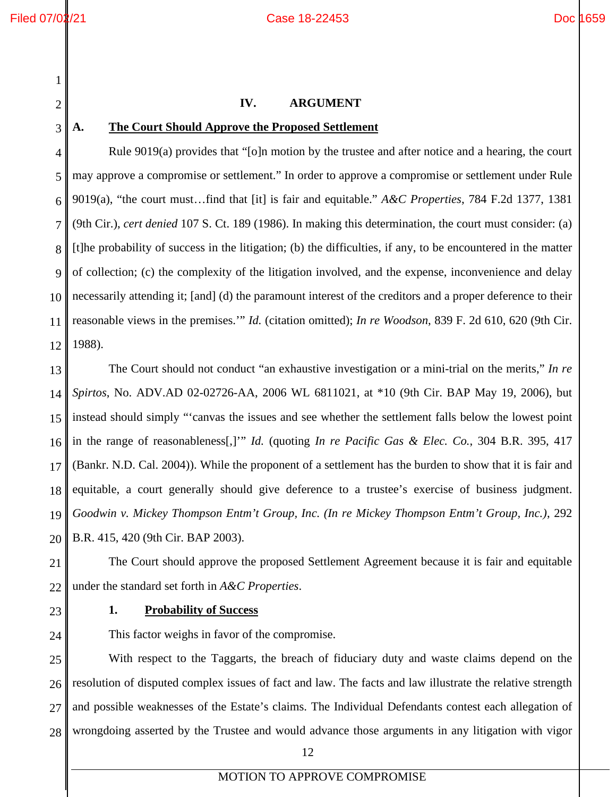<span id="page-15-0"></span>2

3

### **IV. ARGUMENT**

### <span id="page-15-1"></span>**A. The Court Should Approve the Proposed Settlement**

4 5 6 7 8 9 10 11 12 Rule 9019(a) provides that "[o]n motion by the trustee and after notice and a hearing, the court may approve a compromise or settlement." In order to approve a compromise or settlement under Rule 9019(a), "the court must…find that [it] is fair and equitable." *A&C Properties*, 784 F.2d 1377, 1381 (9th Cir.), *cert denied* 107 S. Ct. 189 (1986). In making this determination, the court must consider: (a) [t]he probability of success in the litigation; (b) the difficulties, if any, to be encountered in the matter of collection; (c) the complexity of the litigation involved, and the expense, inconvenience and delay necessarily attending it; [and] (d) the paramount interest of the creditors and a proper deference to their reasonable views in the premises.'" *Id.* (citation omitted); *In re Woodson*, 839 F. 2d 610, 620 (9th Cir. 1988).

13 14 15 16 17 18 19 20 The Court should not conduct "an exhaustive investigation or a mini-trial on the merits," *In re Spirtos*, No. ADV.AD 02-02726-AA, 2006 WL 6811021, at \*10 (9th Cir. BAP May 19, 2006), but instead should simply "'canvas the issues and see whether the settlement falls below the lowest point in the range of reasonableness[,]'" *Id.* (quoting *In re Pacific Gas & Elec. Co.*, 304 B.R. 395, 417 (Bankr. N.D. Cal. 2004)). While the proponent of a settlement has the burden to show that it is fair and equitable, a court generally should give deference to a trustee's exercise of business judgment. *Goodwin v. Mickey Thompson Entm't Group, Inc. (In re Mickey Thompson Entm't Group, Inc.)*, 292 B.R. 415, 420 (9th Cir. BAP 2003).

21 22 The Court should approve the proposed Settlement Agreement because it is fair and equitable under the standard set forth in *A&C Properties*.

<span id="page-15-2"></span>23

24

### **1. Probability of Success**

This factor weighs in favor of the compromise.

25 26 27 28 With respect to the Taggarts, the breach of fiduciary duty and waste claims depend on the resolution of disputed complex issues of fact and law. The facts and law illustrate the relative strength and possible weaknesses of the Estate's claims. The Individual Defendants contest each allegation of wrongdoing asserted by the Trustee and would advance those arguments in any litigation with vigor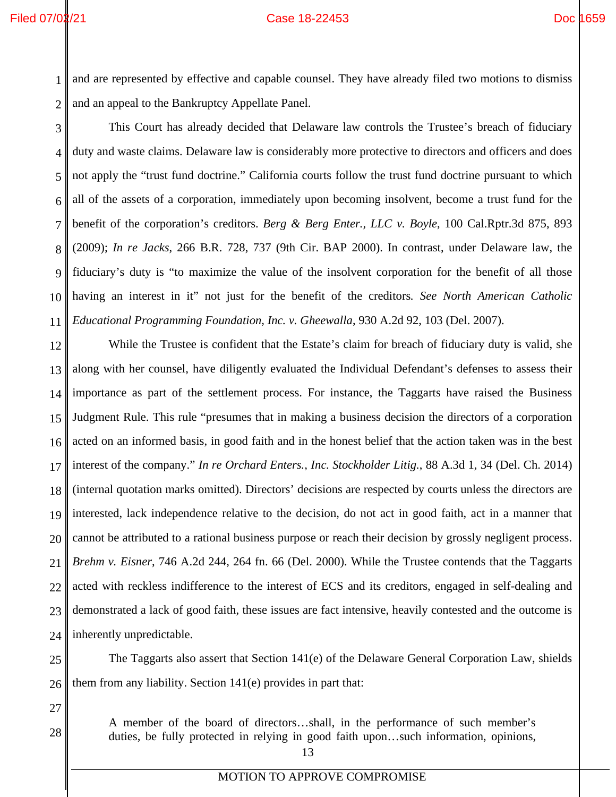1 2 and are represented by effective and capable counsel. They have already filed two motions to dismiss and an appeal to the Bankruptcy Appellate Panel.

3 4 5 6 7 8 9 10 11 This Court has already decided that Delaware law controls the Trustee's breach of fiduciary duty and waste claims. Delaware law is considerably more protective to directors and officers and does not apply the "trust fund doctrine." California courts follow the trust fund doctrine pursuant to which all of the assets of a corporation, immediately upon becoming insolvent, become a trust fund for the benefit of the corporation's creditors. *Berg & Berg Enter., LLC v. Boyle*, 100 Cal.Rptr.3d 875, 893 (2009); *In re Jacks*, 266 B.R. 728, 737 (9th Cir. BAP 2000). In contrast, under Delaware law, the fiduciary's duty is "to maximize the value of the insolvent corporation for the benefit of all those having an interest in it" not just for the benefit of the creditors*. See North American Catholic Educational Programming Foundation, Inc. v. Gheewalla*, 930 A.2d 92, 103 (Del. 2007).

12 13 14 15 16 17 18 19 20 21 22 23 24 While the Trustee is confident that the Estate's claim for breach of fiduciary duty is valid, she along with her counsel, have diligently evaluated the Individual Defendant's defenses to assess their importance as part of the settlement process. For instance, the Taggarts have raised the Business Judgment Rule. This rule "presumes that in making a business decision the directors of a corporation acted on an informed basis, in good faith and in the honest belief that the action taken was in the best interest of the company." *In re Orchard Enters., Inc. Stockholder Litig.*, 88 A.3d 1, 34 (Del. Ch. 2014) (internal quotation marks omitted). Directors' decisions are respected by courts unless the directors are interested, lack independence relative to the decision, do not act in good faith, act in a manner that cannot be attributed to a rational business purpose or reach their decision by grossly negligent process. *Brehm v. Eisner*, 746 A.2d 244, 264 fn. 66 (Del. 2000). While the Trustee contends that the Taggarts acted with reckless indifference to the interest of ECS and its creditors, engaged in self-dealing and demonstrated a lack of good faith, these issues are fact intensive, heavily contested and the outcome is inherently unpredictable.

25 26 The Taggarts also assert that Section 141(e) of the Delaware General Corporation Law, shields them from any liability. Section 141(e) provides in part that:

27

28

A member of the board of directors…shall, in the performance of such member's duties, be fully protected in relying in good faith upon…such information, opinions,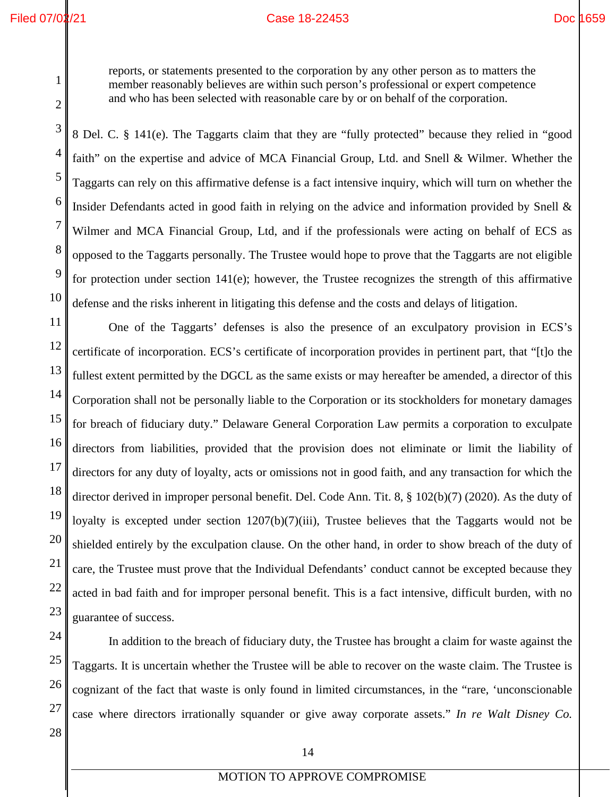reports, or statements presented to the corporation by any other person as to matters the member reasonably believes are within such person's professional or expert competence and who has been selected with reasonable care by or on behalf of the corporation.

8 Del. C. § 141(e). The Taggarts claim that they are "fully protected" because they relied in "good faith" on the expertise and advice of MCA Financial Group, Ltd. and Snell & Wilmer. Whether the Taggarts can rely on this affirmative defense is a fact intensive inquiry, which will turn on whether the Insider Defendants acted in good faith in relying on the advice and information provided by Snell & Wilmer and MCA Financial Group, Ltd, and if the professionals were acting on behalf of ECS as opposed to the Taggarts personally. The Trustee would hope to prove that the Taggarts are not eligible for protection under section 141(e); however, the Trustee recognizes the strength of this affirmative defense and the risks inherent in litigating this defense and the costs and delays of litigation.

One of the Taggarts' defenses is also the presence of an exculpatory provision in ECS's certificate of incorporation. ECS's certificate of incorporation provides in pertinent part, that "[t]o the fullest extent permitted by the DGCL as the same exists or may hereafter be amended, a director of this Corporation shall not be personally liable to the Corporation or its stockholders for monetary damages for breach of fiduciary duty." Delaware General Corporation Law permits a corporation to exculpate directors from liabilities, provided that the provision does not eliminate or limit the liability of directors for any duty of loyalty, acts or omissions not in good faith, and any transaction for which the director derived in improper personal benefit. Del. Code Ann. Tit. 8, § 102(b)(7) (2020). As the duty of loyalty is excepted under section 1207(b)(7)(iii), Trustee believes that the Taggarts would not be shielded entirely by the exculpation clause. On the other hand, in order to show breach of the duty of care, the Trustee must prove that the Individual Defendants' conduct cannot be excepted because they acted in bad faith and for improper personal benefit. This is a fact intensive, difficult burden, with no guarantee of success.

In addition to the breach of fiduciary duty, the Trustee has brought a claim for waste against the Taggarts. It is uncertain whether the Trustee will be able to recover on the waste claim. The Trustee is cognizant of the fact that waste is only found in limited circumstances, in the "rare, 'unconscionable case where directors irrationally squander or give away corporate assets." *In re Walt Disney Co.*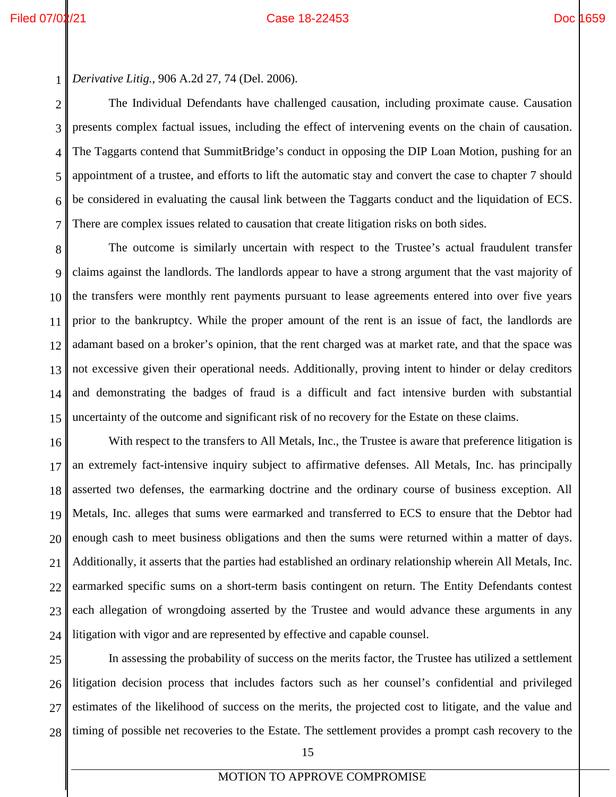1

*Derivative Litig.*, 906 A.2d 27, 74 (Del. 2006).

3 4 5 6 7 The Individual Defendants have challenged causation, including proximate cause. Causation presents complex factual issues, including the effect of intervening events on the chain of causation. The Taggarts contend that SummitBridge's conduct in opposing the DIP Loan Motion, pushing for an appointment of a trustee, and efforts to lift the automatic stay and convert the case to chapter 7 should be considered in evaluating the causal link between the Taggarts conduct and the liquidation of ECS. There are complex issues related to causation that create litigation risks on both sides.

8 9 10 11 12 13 14 15 The outcome is similarly uncertain with respect to the Trustee's actual fraudulent transfer claims against the landlords. The landlords appear to have a strong argument that the vast majority of the transfers were monthly rent payments pursuant to lease agreements entered into over five years prior to the bankruptcy. While the proper amount of the rent is an issue of fact, the landlords are adamant based on a broker's opinion, that the rent charged was at market rate, and that the space was not excessive given their operational needs. Additionally, proving intent to hinder or delay creditors and demonstrating the badges of fraud is a difficult and fact intensive burden with substantial uncertainty of the outcome and significant risk of no recovery for the Estate on these claims.

16 17 18 19 20 21 22 23 24 With respect to the transfers to All Metals, Inc., the Trustee is aware that preference litigation is an extremely fact-intensive inquiry subject to affirmative defenses. All Metals, Inc. has principally asserted two defenses, the earmarking doctrine and the ordinary course of business exception. All Metals, Inc. alleges that sums were earmarked and transferred to ECS to ensure that the Debtor had enough cash to meet business obligations and then the sums were returned within a matter of days. Additionally, it asserts that the parties had established an ordinary relationship wherein All Metals, Inc. earmarked specific sums on a short-term basis contingent on return. The Entity Defendants contest each allegation of wrongdoing asserted by the Trustee and would advance these arguments in any litigation with vigor and are represented by effective and capable counsel.

25 26 27 28 In assessing the probability of success on the merits factor, the Trustee has utilized a settlement litigation decision process that includes factors such as her counsel's confidential and privileged estimates of the likelihood of success on the merits, the projected cost to litigate, and the value and timing of possible net recoveries to the Estate. The settlement provides a prompt cash recovery to the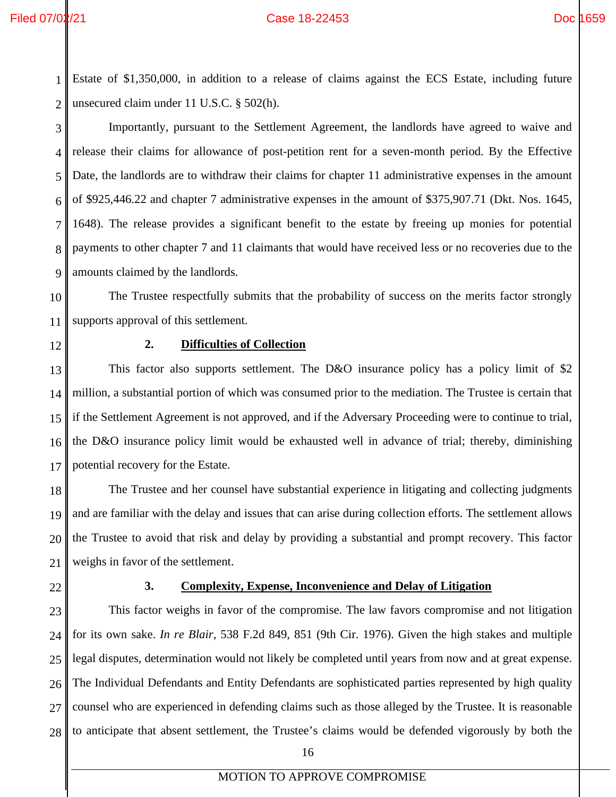### Filed 07/02/21 Case 18-22453 Doc 1659

1 2 Estate of \$1,350,000, in addition to a release of claims against the ECS Estate, including future unsecured claim under 11 U.S.C. § 502(h).

3 4 5 6 7 8 9 Importantly, pursuant to the Settlement Agreement, the landlords have agreed to waive and release their claims for allowance of post-petition rent for a seven-month period. By the Effective Date, the landlords are to withdraw their claims for chapter 11 administrative expenses in the amount of \$925,446.22 and chapter 7 administrative expenses in the amount of \$375,907.71 (Dkt. Nos. 1645, 1648). The release provides a significant benefit to the estate by freeing up monies for potential payments to other chapter 7 and 11 claimants that would have received less or no recoveries due to the amounts claimed by the landlords.

10 11 The Trustee respectfully submits that the probability of success on the merits factor strongly supports approval of this settlement.

<span id="page-19-0"></span>12

### **2. Difficulties of Collection**

13 14 15 16 17 This factor also supports settlement. The D&O insurance policy has a policy limit of \$2 million, a substantial portion of which was consumed prior to the mediation. The Trustee is certain that if the Settlement Agreement is not approved, and if the Adversary Proceeding were to continue to trial, the D&O insurance policy limit would be exhausted well in advance of trial; thereby, diminishing potential recovery for the Estate.

18 19 20 21 The Trustee and her counsel have substantial experience in litigating and collecting judgments and are familiar with the delay and issues that can arise during collection efforts. The settlement allows the Trustee to avoid that risk and delay by providing a substantial and prompt recovery. This factor weighs in favor of the settlement.

<span id="page-19-1"></span>22

### **3. Complexity, Expense, Inconvenience and Delay of Litigation**

23 24 25 26 27 28 This factor weighs in favor of the compromise. The law favors compromise and not litigation for its own sake. *In re Blair*, 538 F.2d 849, 851 (9th Cir. 1976). Given the high stakes and multiple legal disputes, determination would not likely be completed until years from now and at great expense. The Individual Defendants and Entity Defendants are sophisticated parties represented by high quality counsel who are experienced in defending claims such as those alleged by the Trustee. It is reasonable to anticipate that absent settlement, the Trustee's claims would be defended vigorously by both the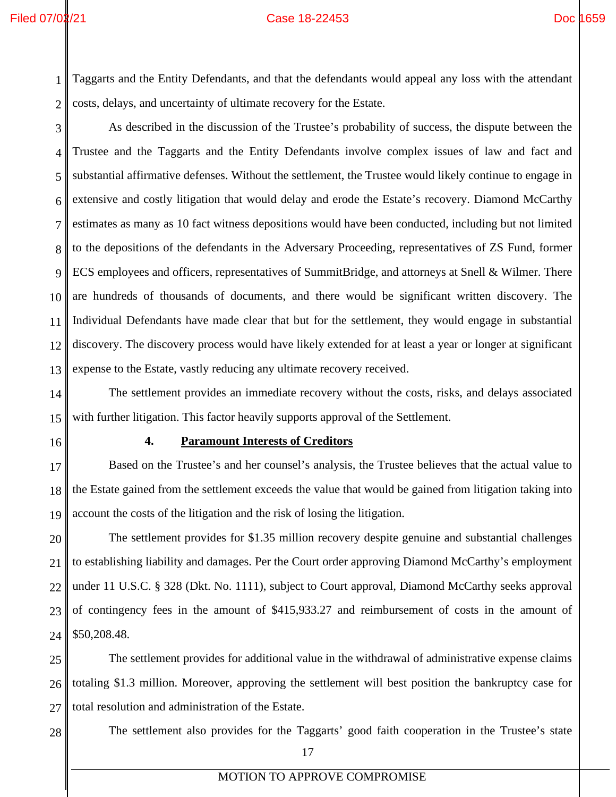1 2 Taggarts and the Entity Defendants, and that the defendants would appeal any loss with the attendant costs, delays, and uncertainty of ultimate recovery for the Estate.

3 4 5 6 7 8 9 10 11 12 13 As described in the discussion of the Trustee's probability of success, the dispute between the Trustee and the Taggarts and the Entity Defendants involve complex issues of law and fact and substantial affirmative defenses. Without the settlement, the Trustee would likely continue to engage in extensive and costly litigation that would delay and erode the Estate's recovery. Diamond McCarthy estimates as many as 10 fact witness depositions would have been conducted, including but not limited to the depositions of the defendants in the Adversary Proceeding, representatives of ZS Fund, former ECS employees and officers, representatives of SummitBridge, and attorneys at Snell & Wilmer. There are hundreds of thousands of documents, and there would be significant written discovery. The Individual Defendants have made clear that but for the settlement, they would engage in substantial discovery. The discovery process would have likely extended for at least a year or longer at significant expense to the Estate, vastly reducing any ultimate recovery received.

14 15 The settlement provides an immediate recovery without the costs, risks, and delays associated with further litigation. This factor heavily supports approval of the Settlement.

<span id="page-20-0"></span>16

### **4. Paramount Interests of Creditors**

17 18 19 Based on the Trustee's and her counsel's analysis, the Trustee believes that the actual value to the Estate gained from the settlement exceeds the value that would be gained from litigation taking into account the costs of the litigation and the risk of losing the litigation.

20 21 22 23 24 The settlement provides for \$1.35 million recovery despite genuine and substantial challenges to establishing liability and damages. Per the Court order approving Diamond McCarthy's employment under 11 U.S.C. § 328 (Dkt. No. 1111), subject to Court approval, Diamond McCarthy seeks approval of contingency fees in the amount of \$415,933.27 and reimbursement of costs in the amount of \$50,208.48.

25 26 27 The settlement provides for additional value in the withdrawal of administrative expense claims totaling \$1.3 million. Moreover, approving the settlement will best position the bankruptcy case for total resolution and administration of the Estate.

28

The settlement also provides for the Taggarts' good faith cooperation in the Trustee's state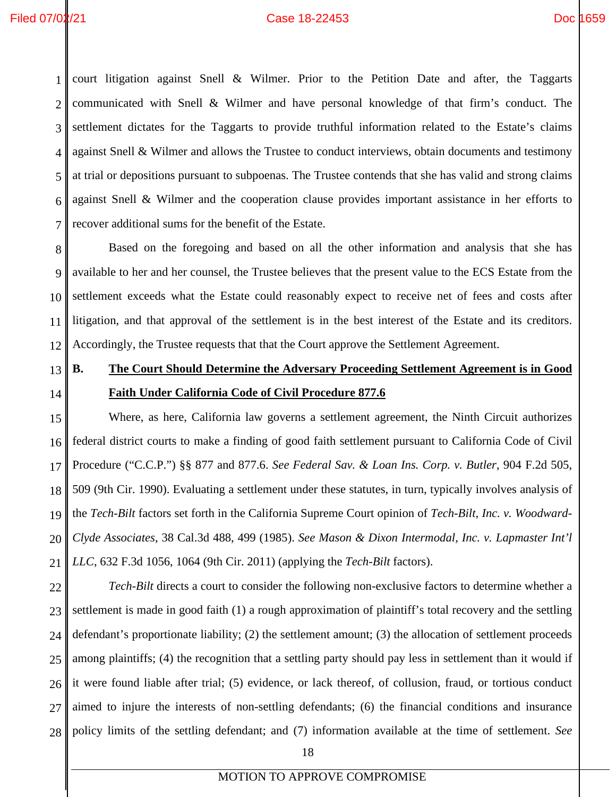1 2 3 4 5 6 7 court litigation against Snell & Wilmer. Prior to the Petition Date and after, the Taggarts communicated with Snell & Wilmer and have personal knowledge of that firm's conduct. The settlement dictates for the Taggarts to provide truthful information related to the Estate's claims against Snell & Wilmer and allows the Trustee to conduct interviews, obtain documents and testimony at trial or depositions pursuant to subpoenas. The Trustee contends that she has valid and strong claims against Snell & Wilmer and the cooperation clause provides important assistance in her efforts to recover additional sums for the benefit of the Estate.

8 9 10 11 12 Based on the foregoing and based on all the other information and analysis that she has available to her and her counsel, the Trustee believes that the present value to the ECS Estate from the settlement exceeds what the Estate could reasonably expect to receive net of fees and costs after litigation, and that approval of the settlement is in the best interest of the Estate and its creditors. Accordingly, the Trustee requests that that the Court approve the Settlement Agreement.

13

14

# <span id="page-21-0"></span>**B. The Court Should Determine the Adversary Proceeding Settlement Agreement is in Good Faith Under California Code of Civil Procedure 877.6**

15 16 17 18 19 20 21 Where, as here, California law governs a settlement agreement, the Ninth Circuit authorizes federal district courts to make a finding of good faith settlement pursuant to California Code of Civil Procedure ("C.C.P.") §§ 877 and 877.6. *See Federal Sav. & Loan Ins. Corp. v. Butler*, 904 F.2d 505, 509 (9th Cir. 1990). Evaluating a settlement under these statutes, in turn, typically involves analysis of the *Tech-Bilt* factors set forth in the California Supreme Court opinion of *Tech-Bilt, Inc. v. Woodward-Clyde Associates*, 38 Cal.3d 488, 499 (1985). *See Mason & Dixon Intermodal, Inc. v. Lapmaster Int'l LLC*, 632 F.3d 1056, 1064 (9th Cir. 2011) (applying the *Tech-Bilt* factors).

22 23 24 25 26 27 28 *Tech-Bilt* directs a court to consider the following non-exclusive factors to determine whether a settlement is made in good faith (1) a rough approximation of plaintiff's total recovery and the settling defendant's proportionate liability; (2) the settlement amount; (3) the allocation of settlement proceeds among plaintiffs; (4) the recognition that a settling party should pay less in settlement than it would if it were found liable after trial; (5) evidence, or lack thereof, of collusion, fraud, or tortious conduct aimed to injure the interests of non-settling defendants; (6) the financial conditions and insurance policy limits of the settling defendant; and (7) information available at the time of settlement. *See*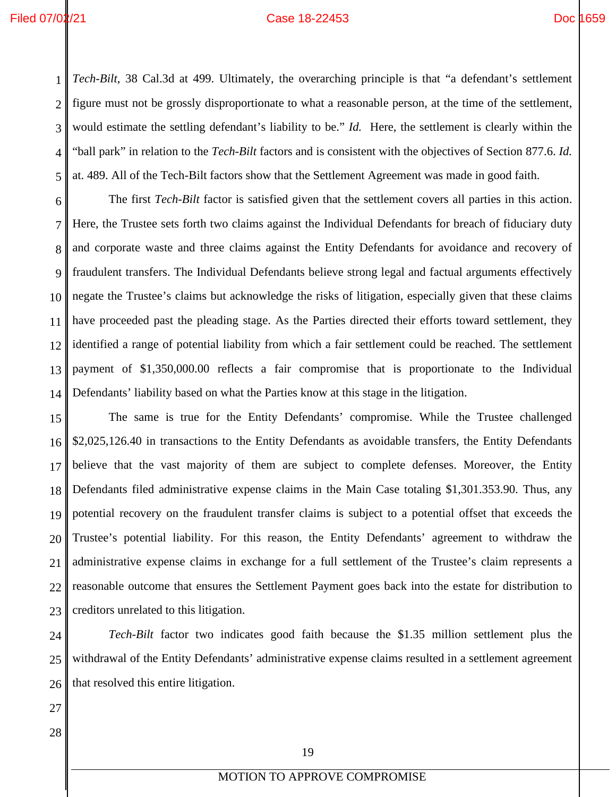1 2 3 4 5 *Tech-Bilt*, 38 Cal.3d at 499. Ultimately, the overarching principle is that "a defendant's settlement figure must not be grossly disproportionate to what a reasonable person, at the time of the settlement, would estimate the settling defendant's liability to be." *Id.* Here, the settlement is clearly within the "ball park" in relation to the *Tech-Bilt* factors and is consistent with the objectives of Section 877.6. *Id.* at. 489. All of the Tech-Bilt factors show that the Settlement Agreement was made in good faith.

6 7 8 9 10 11 12 13 14 The first *Tech-Bilt* factor is satisfied given that the settlement covers all parties in this action. Here, the Trustee sets forth two claims against the Individual Defendants for breach of fiduciary duty and corporate waste and three claims against the Entity Defendants for avoidance and recovery of fraudulent transfers. The Individual Defendants believe strong legal and factual arguments effectively negate the Trustee's claims but acknowledge the risks of litigation, especially given that these claims have proceeded past the pleading stage. As the Parties directed their efforts toward settlement, they identified a range of potential liability from which a fair settlement could be reached. The settlement payment of \$1,350,000.00 reflects a fair compromise that is proportionate to the Individual Defendants' liability based on what the Parties know at this stage in the litigation.

15 16 17 18 19 20 21 22 23 The same is true for the Entity Defendants' compromise. While the Trustee challenged \$2,025,126.40 in transactions to the Entity Defendants as avoidable transfers, the Entity Defendants believe that the vast majority of them are subject to complete defenses. Moreover, the Entity Defendants filed administrative expense claims in the Main Case totaling \$1,301.353.90. Thus, any potential recovery on the fraudulent transfer claims is subject to a potential offset that exceeds the Trustee's potential liability. For this reason, the Entity Defendants' agreement to withdraw the administrative expense claims in exchange for a full settlement of the Trustee's claim represents a reasonable outcome that ensures the Settlement Payment goes back into the estate for distribution to creditors unrelated to this litigation.

24 25 26 *Tech-Bilt* factor two indicates good faith because the \$1.35 million settlement plus the withdrawal of the Entity Defendants' administrative expense claims resulted in a settlement agreement that resolved this entire litigation.

- 27
- 28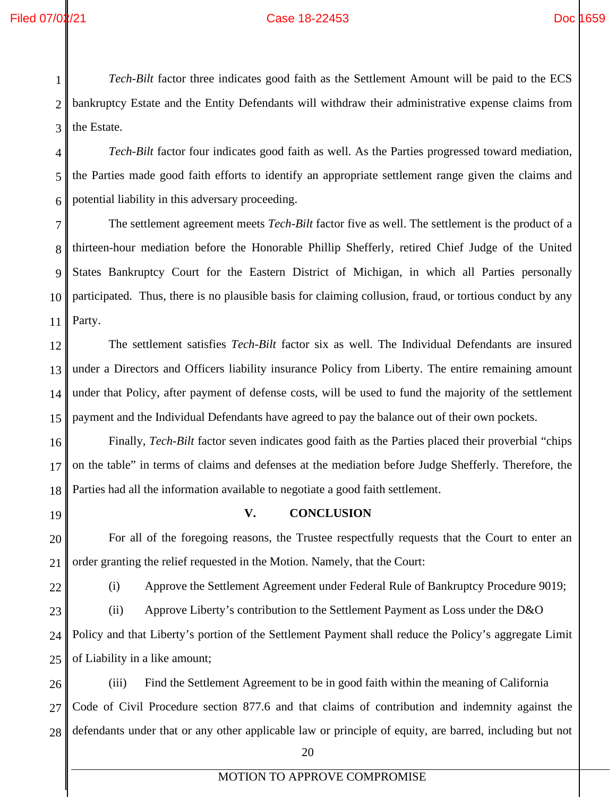*Tech-Bilt* factor three indicates good faith as the Settlement Amount will be paid to the ECS bankruptcy Estate and the Entity Defendants will withdraw their administrative expense claims from the Estate.

5 6 *Tech-Bilt* factor four indicates good faith as well. As the Parties progressed toward mediation, the Parties made good faith efforts to identify an appropriate settlement range given the claims and potential liability in this adversary proceeding.

7 8 9 10 11 The settlement agreement meets *Tech-Bilt* factor five as well. The settlement is the product of a thirteen-hour mediation before the Honorable Phillip Shefferly, retired Chief Judge of the United States Bankruptcy Court for the Eastern District of Michigan, in which all Parties personally participated. Thus, there is no plausible basis for claiming collusion, fraud, or tortious conduct by any Party.

12 13 14 15 The settlement satisfies *Tech-Bilt* factor six as well. The Individual Defendants are insured under a Directors and Officers liability insurance Policy from Liberty. The entire remaining amount under that Policy, after payment of defense costs, will be used to fund the majority of the settlement payment and the Individual Defendants have agreed to pay the balance out of their own pockets.

16 17 18 Finally, *Tech-Bilt* factor seven indicates good faith as the Parties placed their proverbial "chips on the table" in terms of claims and defenses at the mediation before Judge Shefferly. Therefore, the Parties had all the information available to negotiate a good faith settlement.

<span id="page-23-0"></span>19

# **V. CONCLUSION**

20 21 For all of the foregoing reasons, the Trustee respectfully requests that the Court to enter an order granting the relief requested in the Motion. Namely, that the Court:

22

(i) Approve the Settlement Agreement under Federal Rule of Bankruptcy Procedure 9019;

23 24 (ii) Approve Liberty's contribution to the Settlement Payment as Loss under the D&O Policy and that Liberty's portion of the Settlement Payment shall reduce the Policy's aggregate Limit

25 of Liability in a like amount;

26 27 28 (iii) Find the Settlement Agreement to be in good faith within the meaning of California Code of Civil Procedure section 877.6 and that claims of contribution and indemnity against the defendants under that or any other applicable law or principle of equity, are barred, including but not